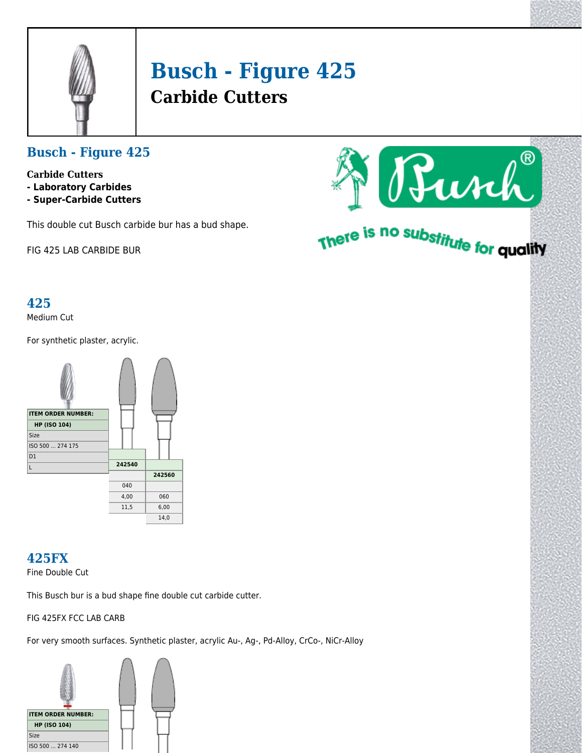

# **Busch - Figure 425 Carbide Cutters**

## **Busch - Figure 425**

- **Carbide Cutters**
- **Laboratory Carbides**
- **Super-Carbide Cutters**

This double cut Busch carbide bur has a bud shape.

FIG 425 LAB CARBIDE BUR

#### **425**

Medium Cut

For synthetic plaster, acrylic.



# **425FX**

Fine Double Cut

This Busch bur is a bud shape fine double cut carbide cutter.

FIG 425FX FCC LAB CARB

For very smooth surfaces. Synthetic plaster, acrylic Au-, Ag-, Pd-Alloy, CrCo-, NiCr-Alloy





# There is no substitute for quality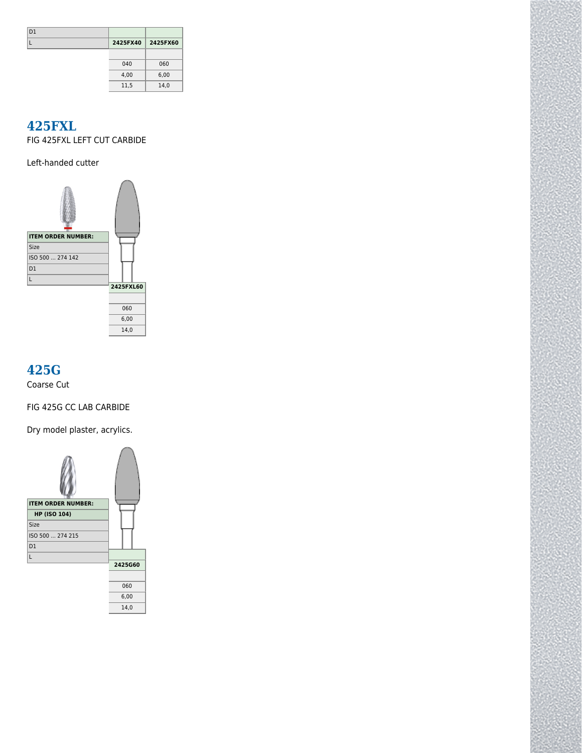| D <sub>1</sub> |          |          |
|----------------|----------|----------|
|                | 2425FX40 | 2425FX60 |
|                |          |          |
|                | 040      | 060      |
|                | 4,00     | 6,00     |
|                | 11,5     | 14,0     |

#### **425FXL**

FIG 425FXL LEFT CUT CARBIDE

Left-handed cutter



# **425G**

Coarse Cut

FIG 425G CC LAB CARBIDE

Dry model plaster, acrylics.

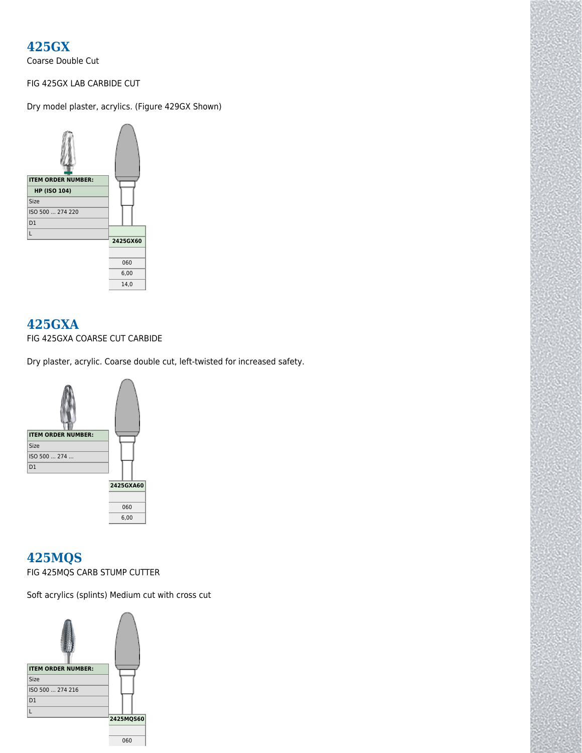### **425GX**

Coarse Double Cut

#### FIG 425GX LAB CARBIDE CUT

Dry model plaster, acrylics. (Figure 429GX Shown)



#### **425GXA**

FIG 425GXA COARSE CUT CARBIDE

Dry plaster, acrylic. Coarse double cut, left-twisted for increased safety.



#### **425MQS**

FIG 425MQS CARB STUMP CUTTER

Soft acrylics (splints) Medium cut with cross cut

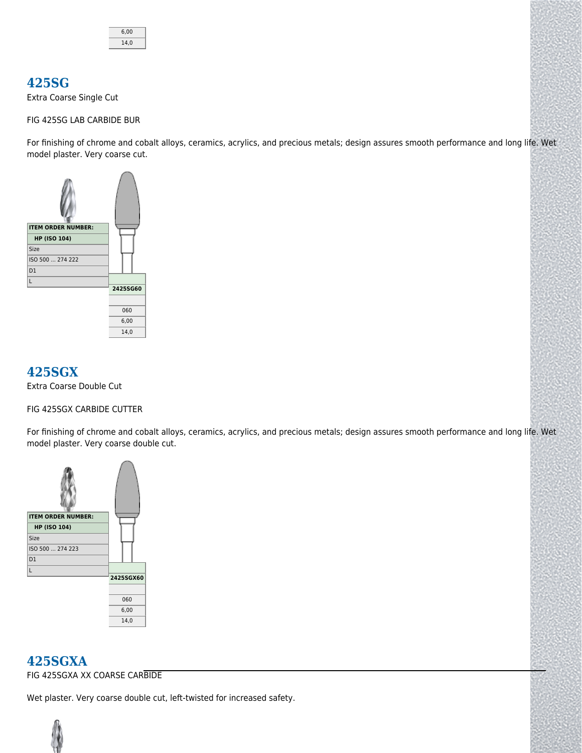

#### **425SG**

Extra Coarse Single Cut

#### FIG 425SG LAB CARBIDE BUR

For finishing of chrome and cobalt alloys, ceramics, acrylics, and precious metals; design assures smooth performance and long life. Wet model plaster. Very coarse cut.



#### **425SGX**

Extra Coarse Double Cut

#### FIG 425SGX CARBIDE CUTTER

For finishing of chrome and cobalt alloys, ceramics, acrylics, and precious metals; design assures smooth performance and long life. Wet model plaster. Very coarse double cut.



#### **425SGXA**

FIG 425SGXA XX COARSE CARBIDE

Wet plaster. Very coarse double cut, left-twisted for increased safety.

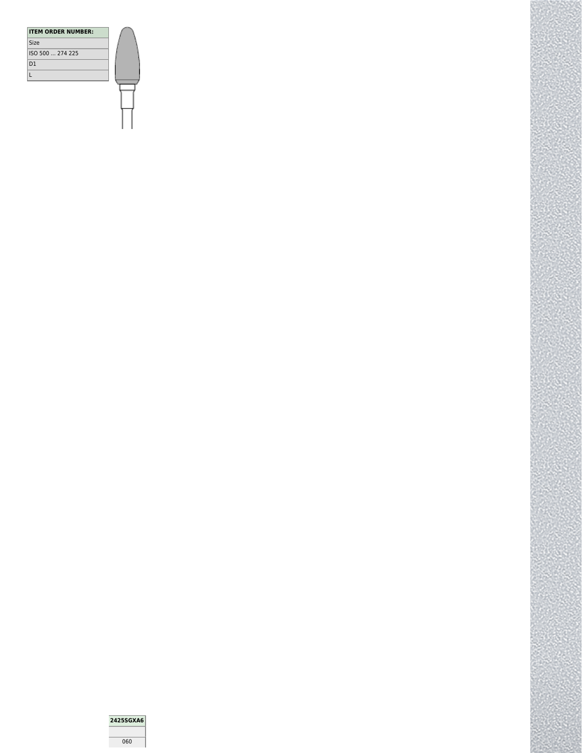| <b>ITEM ORDER NUMBER:</b> |
|---------------------------|
| Size                      |
| ISO 500  274 225          |
| D <sub>1</sub>            |
|                           |
|                           |
|                           |

2425SGXA6

 $\overline{\text{060}}$